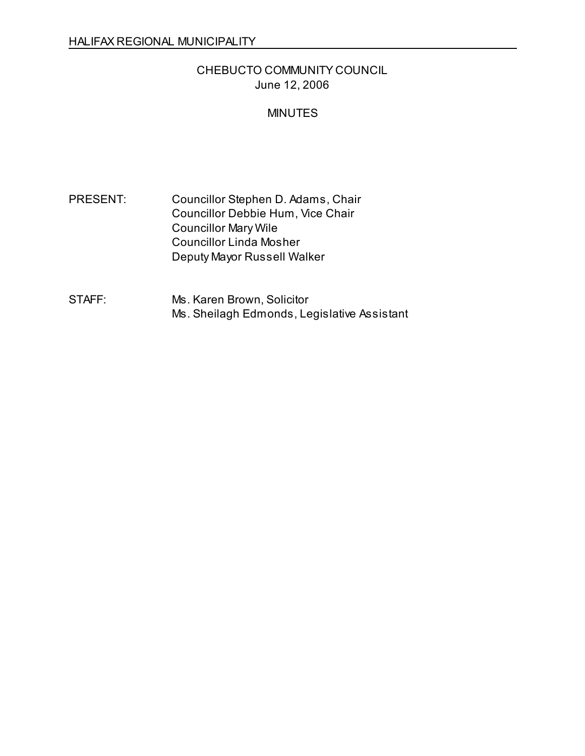# CHEBUCTO COMMUNITY COUNCIL June 12, 2006

## MINUTES

PRESENT: Councillor Stephen D. Adams, Chair Councillor Debbie Hum, Vice Chair Councillor Mary Wile Councillor Linda Mosher Deputy Mayor Russell Walker

STAFF: Ms. Karen Brown, Solicitor Ms. Sheilagh Edmonds, Legislative Assistant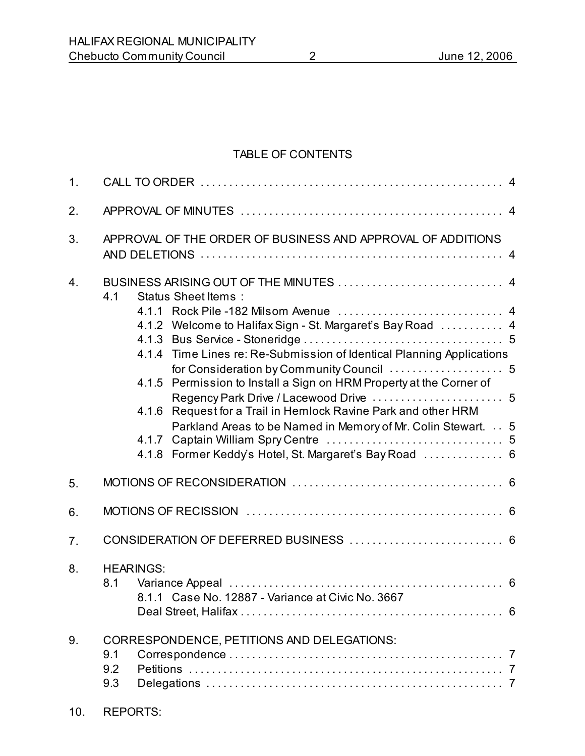## TABLE OF CONTENTS

| 1. |                                                                                                                                                                                                                                                                                                                                                                                                                                         |  |  |  |
|----|-----------------------------------------------------------------------------------------------------------------------------------------------------------------------------------------------------------------------------------------------------------------------------------------------------------------------------------------------------------------------------------------------------------------------------------------|--|--|--|
| 2. |                                                                                                                                                                                                                                                                                                                                                                                                                                         |  |  |  |
| 3. | APPROVAL OF THE ORDER OF BUSINESS AND APPROVAL OF ADDITIONS                                                                                                                                                                                                                                                                                                                                                                             |  |  |  |
| 4. | 4.1<br>Status Sheet Items:<br>4.1.2 Welcome to Halifax Sign - St. Margaret's Bay Road  4<br>4.1.4 Time Lines re: Re-Submission of Identical Planning Applications<br>4.1.5 Permission to Install a Sign on HRM Property at the Corner of<br>Request for a Trail in Hemlock Ravine Park and other HRM<br>4.1.6<br>Parkland Areas to be Named in Memory of Mr. Colin Stewart. 5<br>4.1.8 Former Keddy's Hotel, St. Margaret's Bay Road  6 |  |  |  |
| 5. |                                                                                                                                                                                                                                                                                                                                                                                                                                         |  |  |  |
| 6. |                                                                                                                                                                                                                                                                                                                                                                                                                                         |  |  |  |
| 7. |                                                                                                                                                                                                                                                                                                                                                                                                                                         |  |  |  |
| 8. | <b>HEARINGS:</b><br>8.1<br>8.1.1 Case No. 12887 - Variance at Civic No. 3667                                                                                                                                                                                                                                                                                                                                                            |  |  |  |
| 9. | CORRESPONDENCE, PETITIONS AND DELEGATIONS:<br>9.1<br>9.2<br>9.3                                                                                                                                                                                                                                                                                                                                                                         |  |  |  |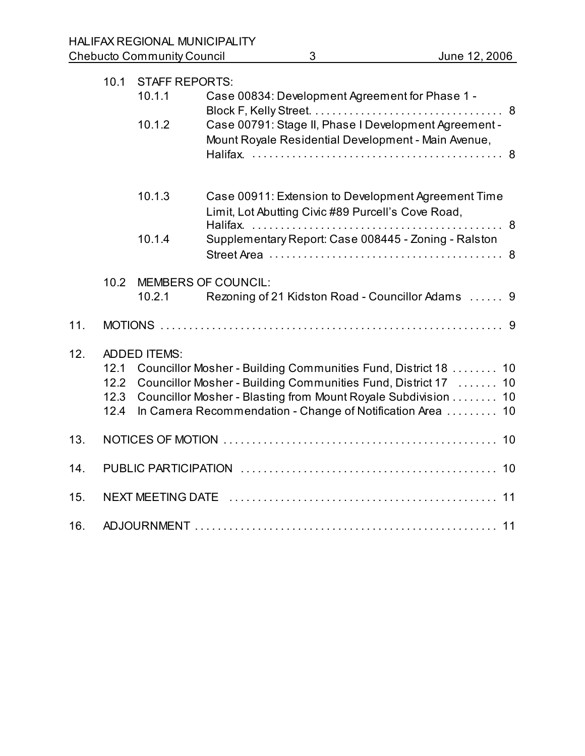|     | 10.1                                                                                                                                                                                                                                                                                                                    | <b>STAFF REPORTS:</b> |                                                                                                              |  |  |  |
|-----|-------------------------------------------------------------------------------------------------------------------------------------------------------------------------------------------------------------------------------------------------------------------------------------------------------------------------|-----------------------|--------------------------------------------------------------------------------------------------------------|--|--|--|
|     |                                                                                                                                                                                                                                                                                                                         | 10.1.1                | Case 00834: Development Agreement for Phase 1 -                                                              |  |  |  |
|     |                                                                                                                                                                                                                                                                                                                         | 10.1.2                | Case 00791: Stage II, Phase I Development Agreement -<br>Mount Royale Residential Development - Main Avenue, |  |  |  |
|     |                                                                                                                                                                                                                                                                                                                         | 10.1.3                | Case 00911: Extension to Development Agreement Time<br>Limit, Lot Abutting Civic #89 Purcell's Cove Road,    |  |  |  |
|     |                                                                                                                                                                                                                                                                                                                         | 10.1.4                | Supplementary Report: Case 008445 - Zoning - Ralston                                                         |  |  |  |
|     | 10.2                                                                                                                                                                                                                                                                                                                    |                       | <b>MEMBERS OF COUNCIL:</b>                                                                                   |  |  |  |
|     |                                                                                                                                                                                                                                                                                                                         | 10.2.1                | Rezoning of 21 Kidston Road - Councillor Adams  9                                                            |  |  |  |
| 11. |                                                                                                                                                                                                                                                                                                                         |                       |                                                                                                              |  |  |  |
| 12. | <b>ADDED ITEMS:</b><br>Councillor Mosher - Building Communities Fund, District 18  10<br>12.1<br>Councillor Mosher - Building Communities Fund, District 17  10<br>12.2<br>Councillor Mosher - Blasting from Mount Royale Subdivision  10<br>12.3<br>In Camera Recommendation - Change of Notification Area  10<br>12.4 |                       |                                                                                                              |  |  |  |
| 13. |                                                                                                                                                                                                                                                                                                                         |                       |                                                                                                              |  |  |  |
| 14. |                                                                                                                                                                                                                                                                                                                         |                       |                                                                                                              |  |  |  |
| 15. |                                                                                                                                                                                                                                                                                                                         |                       |                                                                                                              |  |  |  |
| 16. |                                                                                                                                                                                                                                                                                                                         |                       |                                                                                                              |  |  |  |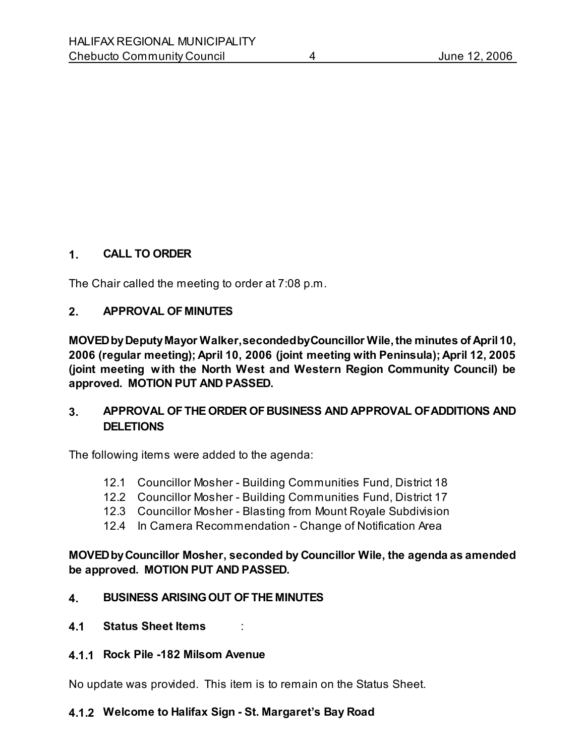## **1. CALL TO ORDER**

The Chair called the meeting to order at 7:08 p.m.

#### **2. APPROVAL OF MINUTES**

**MOVED by Deputy Mayor Walker, seconded by Councillor Wile, the minutes of April 10, 2006 (regular meeting); April 10, 2006 (joint meeting with Peninsula); April 12, 2005 (joint meeting with the North West and Western Region Community Council) be approved. MOTION PUT AND PASSED.** 

## **3. APPROVAL OF THE ORDER OF BUSINESS AND APPROVAL OF ADDITIONS AND DELETIONS**

The following items were added to the agenda:

- 12.1 Councillor Mosher Building Communities Fund, District 18
- 12.2 Councillor Mosher Building Communities Fund, District 17
- 12.3 Councillor Mosher Blasting from Mount Royale Subdivision
- 12.4 In Camera Recommendation Change of Notification Area

#### **MOVED by Councillor Mosher, seconded by Councillor Wile, the agenda as amended be approved. MOTION PUT AND PASSED.**

#### **4. BUSINESS ARISING OUT OF THE MINUTES**

**4.1 Status Sheet Items** :

#### **4.1.1 Rock Pile -182 Milsom Avenue**

No update was provided. This item is to remain on the Status Sheet.

### **4.1.2 Welcome to Halifax Sign - St. Margaret's Bay Road**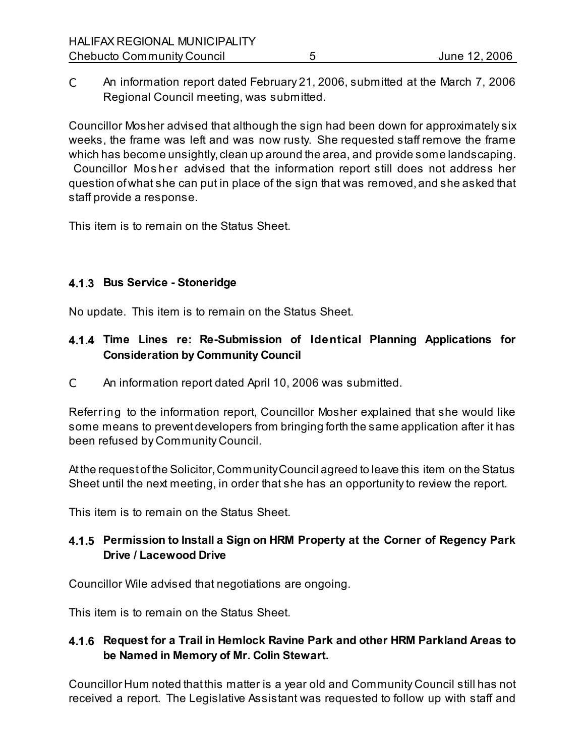C An information report dated February 21, 2006, submitted at the March 7, 2006 Regional Council meeting, was submitted.

Councillor Mosher advised that although the sign had been down for approximately six weeks, the frame was left and was now rusty. She requested staff remove the frame which has become unsightly, clean up around the area, and provide some landscaping. Councillor Mos her advised that the information report still does not address her question of what she can put in place of the sign that was removed, and she asked that staff provide a response.

This item is to remain on the Status Sheet.

# **4.1.3 Bus Service - Stoneridge**

No update. This item is to remain on the Status Sheet.

# **4.1.4 Time Lines re: Re-Submission of Identical Planning Applications for Consideration by Community Council**

C An information report dated April 10, 2006 was submitted.

Referring to the information report, Councillor Mosher explained that she would like some means to prevent developers from bringing forth the same application after it has been refused by Community Council.

At the request of the Solicitor, Community Council agreed to leave this item on the Status Sheet until the next meeting, in order that she has an opportunity to review the report.

This item is to remain on the Status Sheet.

# **4.1.5 Permission to Install a Sign on HRM Property at the Corner of Regency Park Drive / Lacewood Drive**

Councillor Wile advised that negotiations are ongoing.

This item is to remain on the Status Sheet.

# **4.1.6 Request for a Trail in Hemlock Ravine Park and other HRM Parkland Areas to be Named in Memory of Mr. Colin Stewart.**

Councillor Hum noted that this matter is a year old and Community Council still has not received a report. The Legislative Assistant was requested to follow up with staff and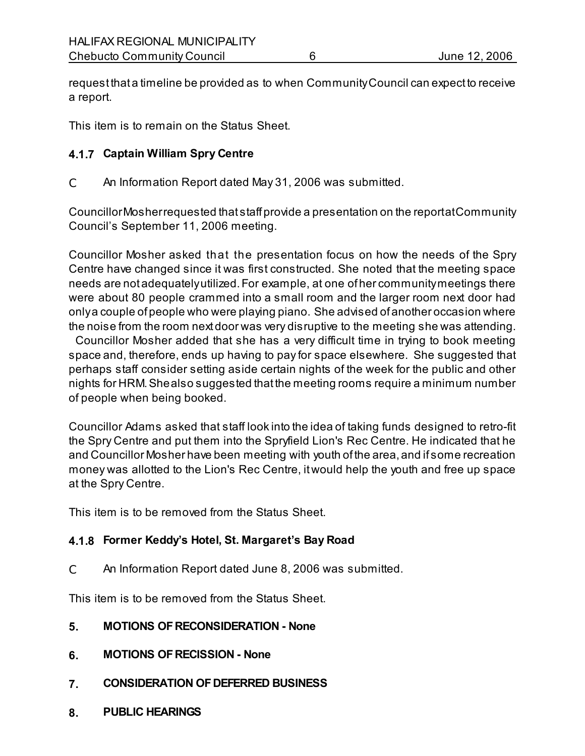request that a timeline be provided as to when Community Council can expect to receive a report.

This item is to remain on the Status Sheet.

## **4.1.7 Captain William Spry Centre**

C An Information Report dated May 31, 2006 was submitted.

Councillor Mosher requested that staff provide a presentation on the report at Community Council's September 11, 2006 meeting.

Councillor Mosher asked that the presentation focus on how the needs of the Spry Centre have changed since it was first constructed. She noted that the meeting space needs are not adequately utilized. For example, at one of her community meetings there were about 80 people crammed into a small room and the larger room next door had only a couple of people who were playing piano. She advised of another occasion where the noise from the room next door was very disruptive to the meeting she was attending.

 Councillor Mosher added that she has a very difficult time in trying to book meeting space and, therefore, ends up having to pay for space elsewhere. She suggested that perhaps staff consider setting aside certain nights of the week for the public and other nights for HRM. She also suggested that the meeting rooms require a minimum number of people when being booked.

Councillor Adams asked that staff look into the idea of taking funds designed to retro-fit the Spry Centre and put them into the Spryfield Lion's Rec Centre. He indicated that he and Councillor Mosher have been meeting with youth of the area, and if some recreation money was allotted to the Lion's Rec Centre, it would help the youth and free up space at the Spry Centre.

This item is to be removed from the Status Sheet.

# **4.1.8 Former Keddy's Hotel, St. Margaret's Bay Road**

C An Information Report dated June 8, 2006 was submitted.

This item is to be removed from the Status Sheet.

- **5. MOTIONS OF RECONSIDERATION None**
- **6. MOTIONS OF RECISSION None**
- **7. CONSIDERATION OF DEFERRED BUSINESS**
- **8. PUBLIC HEARINGS**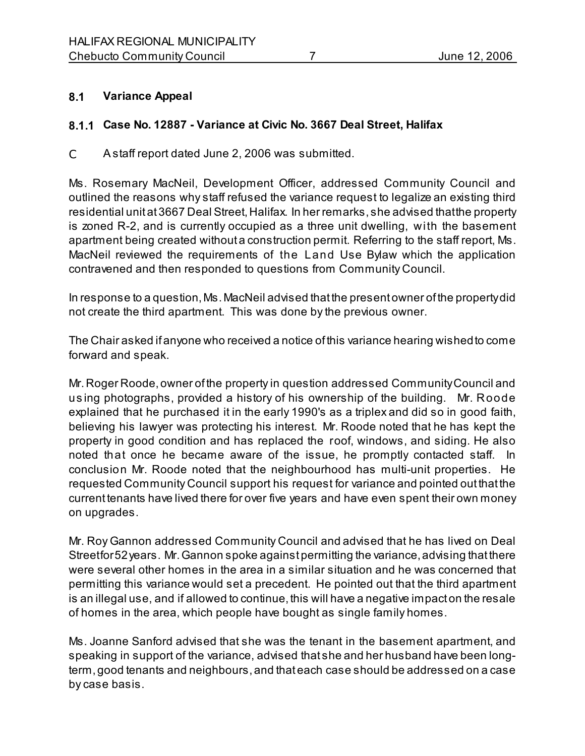## **8.1 Variance Appeal**

## **8.1.1 Case No. 12887 - Variance at Civic No. 3667 Deal Street, Halifax**

C A staff report dated June 2, 2006 was submitted.

Ms. Rosemary MacNeil, Development Officer, addressed Community Council and outlined the reasons why staff refused the variance request to legalize an existing third residential unit at 3667 Deal Street, Halifax. In her remarks, she advised that the property is zoned R-2, and is currently occupied as a three unit dwelling, with the basement apartment being created without a construction permit. Referring to the staff report, Ms. MacNeil reviewed the requirements of the Land Use Bylaw which the application contravened and then responded to questions from Community Council.

In response to a question, Ms. MacNeil advised that the present owner of the property did not create the third apartment. This was done by the previous owner.

The Chair asked if anyone who received a notice of this variance hearing wished to come forward and speak.

Mr. Roger Roode, owner of the property in question addressed Community Council and us ing photographs, provided a history of his ownership of the building. Mr. Roode explained that he purchased it in the early 1990's as a triplex and did so in good faith, believing his lawyer was protecting his interest. Mr. Roode noted that he has kept the property in good condition and has replaced the roof, windows, and siding. He also noted that once he became aware of the issue, he promptly contacted staff. In conclusion Mr. Roode noted that the neighbourhood has multi-unit properties. He requested Community Council support his request for variance and pointed out that the current tenants have lived there for over five years and have even spent their own money on upgrades.

Mr. Roy Gannon addressed Community Council and advised that he has lived on Deal Street for 52 years. Mr. Gannon spoke against permitting the variance, advising that there were several other homes in the area in a similar situation and he was concerned that permitting this variance would set a precedent. He pointed out that the third apartment is an illegal use, and if allowed to continue, this will have a negative impact on the resale of homes in the area, which people have bought as single family homes.

Ms. Joanne Sanford advised that she was the tenant in the basement apartment, and speaking in support of the variance, advised that she and her husband have been longterm, good tenants and neighbours, and that each case should be addressed on a case by case basis.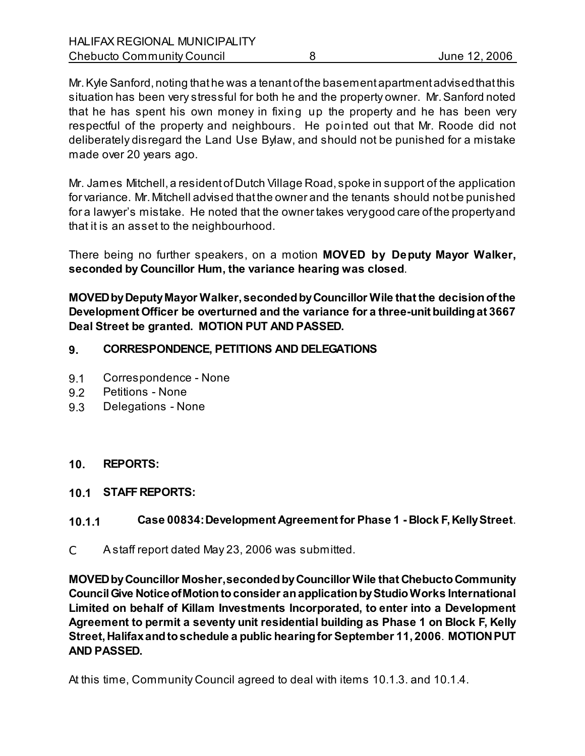Mr. Kyle Sanford, noting that he was a tenant of the basement apartment advised that this situation has been very stressful for both he and the property owner. Mr. Sanford noted that he has spent his own money in fixing up the property and he has been very respectful of the property and neighbours. He pointed out that Mr. Roode did not deliberately disregard the Land Use Bylaw, and should not be punished for a mistake made over 20 years ago.

Mr. James Mitchell, a resident of Dutch Village Road, spoke in support of the application for variance. Mr. Mitchell advised that the owner and the tenants should not be punished for a lawyer's mistake. He noted that the owner takes very good care of the property and that it is an asset to the neighbourhood.

There being no further speakers, on a motion **MOVED by Deputy Mayor Walker, seconded by Councillor Hum, the variance hearing was closed**.

**MOVED by Deputy Mayor Walker, seconded by Councillor Wile that the decision of the Development Officer be overturned and the variance for a three-unit building at 3667 Deal Street be granted. MOTION PUT AND PASSED.**

## **9. CORRESPONDENCE, PETITIONS AND DELEGATIONS**

- 9.1 Correspondence None
- 9.2 Petitions None
- 9.3 DelegationsNone

#### **10. REPORTS:**

**10.1 STAFF REPORTS:**

# **10.1.1 Case 00834: Development Agreement for Phase 1 - Block F, Kelly Street**.

C A staff report dated May 23, 2006 was submitted.

**MOVED by Councillor Mosher, seconded by Councillor Wile that Chebucto Community Council Give Notice of Motion to consider an application by Studio Works International Limited on behalf of Killam Investments Incorporated, to enter into a Development Agreement to permit a seventy unit residential building as Phase 1 on Block F, Kelly Street, Halifax and to schedule a public hearing for September 11, 2006**. **MOTION PUT AND PASSED.**

At this time, Community Council agreed to deal with items 10.1.3. and 10.1.4.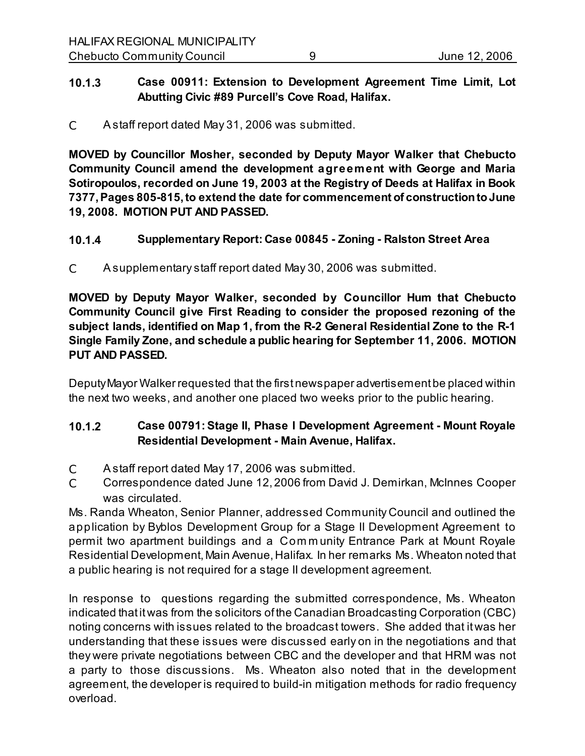## **10.1.3 Case 00911: Extension to Development Agreement Time Limit, Lot Abutting Civic #89 Purcell's Cove Road, Halifax.**

C A staff report dated May 31, 2006 was submitted.

**MOVED by Councillor Mosher, seconded by Deputy Mayor Walker that Chebucto Community Council amend the development agreement with George and Maria Sotiropoulos, recorded on June 19, 2003 at the Registry of Deeds at Halifax in Book 7377, Pages 805-815, to extend the date for commencement of construction to June 19, 2008. MOTION PUT AND PASSED.**

# **10.1.4 Supplementary Report: Case 00845 - Zoning - Ralston Street Area**

C A supplementary staff report dated May 30, 2006 was submitted.

**MOVED by Deputy Mayor Walker, seconded by Councillor Hum that Chebucto Community Council give First Reading to consider the proposed rezoning of the subject lands, identified on Map 1, from the R-2 General Residential Zone to the R-1 Single Family Zone, and schedule a public hearing for September 11, 2006. MOTION PUT AND PASSED.**

Deputy Mayor Walker requested that the first newspaper advertisement be placed within the next two weeks, and another one placed two weeks prior to the public hearing.

# **10.1.2 Case 00791: Stage II, Phase I Development Agreement - Mount Royale Residential Development - Main Avenue, Halifax.**

- C A staff report dated May 17, 2006 was submitted.
- C Correspondence dated June 12, 2006 from David J. Demirkan, McInnes Cooper was circulated.

Ms. Randa Wheaton, Senior Planner, addressed Community Council and outlined the application by Byblos Development Group for a Stage II Development Agreement to permit two apartment buildings and a Com m unity Entrance Park at Mount Royale Residential Development, Main Avenue, Halifax. In her remarks Ms. Wheaton noted that a public hearing is not required for a stage II development agreement.

In response to questions regarding the submitted correspondence, Ms. Wheaton indicated that it was from the solicitors of the Canadian Broadcasting Corporation (CBC) noting concerns with issues related to the broadcast towers. She added that it was her understanding that these issues were discussed early on in the negotiations and that they were private negotiations between CBC and the developer and that HRM was not a party to those discussions. Ms. Wheaton also noted that in the development agreement, the developer is required to build-in mitigation methods for radio frequency overload.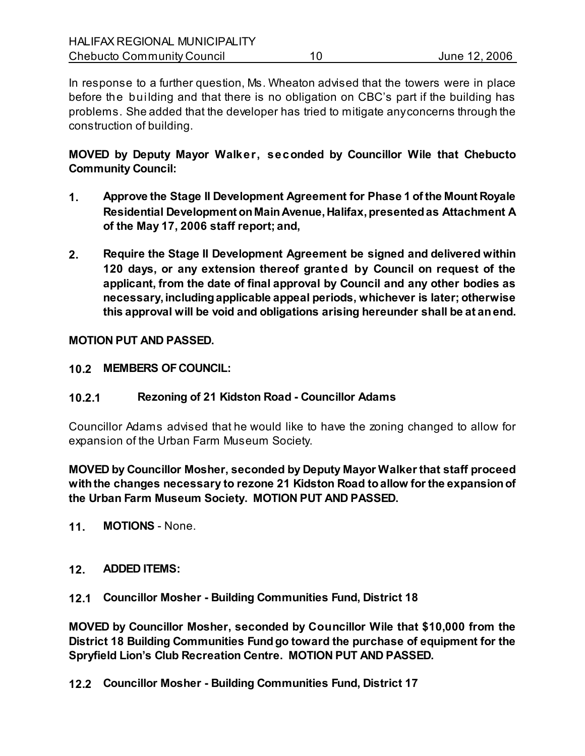In response to a further question, Ms. Wheaton advised that the towers were in place before the building and that there is no obligation on CBC's part if the building has problems. She added that the developer has tried to mitigate any concerns through the construction of building.

**MOVED by Deputy Mayor Walker, seconded by Councillor Wile that Chebucto Community Council:**

- **1. Approve the Stage II Development Agreement for Phase 1 of the Mount Royale Residential Development on Main Avenue, Halifax, presented as Attachment A of the May 17, 2006 staff report; and,**
- **2. Require the Stage II Development Agreement be signed and delivered within 120 days, or any extension thereof granted by Council on request of the applicant, from the date of final approval by Council and any other bodies as necessary, including applicable appeal periods, whichever is later; otherwise this approval will be void and obligations arising hereunder shall be at an end.**

**MOTION PUT AND PASSED.**

**10.2 MEMBERS OF COUNCIL:**

# **10.2.1 Rezoning of 21 Kidston Road - Councillor Adams**

Councillor Adams advised that he would like to have the zoning changed to allow for expansion of the Urban Farm Museum Society.

**MOVED by Councillor Mosher, seconded by Deputy Mayor Walker that staff proceed with the changes necessary to rezone 21 Kidston Road to allow for the expansion of the Urban Farm Museum Society. MOTION PUT AND PASSED.**

- **11. MOTIONS**  None.
- **12. ADDED ITEMS:**
- **12.1 Councillor Mosher Building Communities Fund, District 18**

**MOVED by Councillor Mosher, seconded by Councillor Wile that \$10,000 from the District 18 Building Communities Fund go toward the purchase of equipment for the Spryfield Lion's Club Recreation Centre. MOTION PUT AND PASSED.**

**12.2 Councillor Mosher - Building Communities Fund, District 17**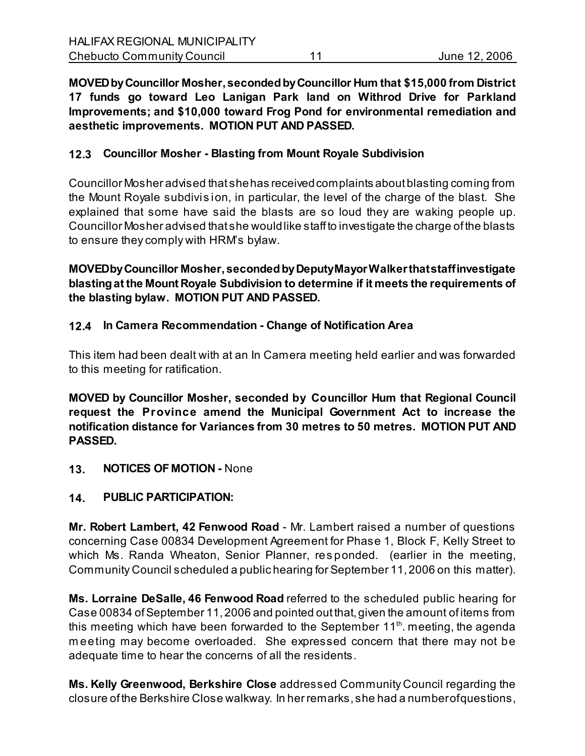**MOVED by Councillor Mosher, seconded by Councillor Hum that \$15,000 from District 17 funds go toward Leo Lanigan Park land on Withrod Drive for Parkland Improvements; and \$10,000 toward Frog Pond for environmental remediation and aesthetic improvements. MOTION PUT AND PASSED.**

### **12.3 Councillor Mosher - Blasting from Mount Royale Subdivision**

Councillor Mosher advised that she has received complaints about blasting coming from the Mount Royale subdivis ion, in particular, the level of the charge of the blast. She explained that some have said the blasts are so loud they are waking people up. Councillor Mosher advised that she would like staff to investigate the charge of the blasts to ensure they comply with HRM's bylaw.

**MOVED by Councillor Mosher, seconded by Deputy Mayor Walker that staff investigate blasting at the Mount Royale Subdivision to determine if it meets the requirements of the blasting bylaw. MOTION PUT AND PASSED.**

## **12.4 In Camera Recommendation - Change of Notification Area**

This item had been dealt with at an In Camera meeting held earlier and was forwarded to this meeting for ratification.

**MOVED by Councillor Mosher, seconded by Councillor Hum that Regional Council request the Province amend the Municipal Government Act to increase the notification distance for Variances from 30 metres to 50 metres. MOTION PUT AND PASSED.**

**13. NOTICES OF MOTION -** None

#### **14. PUBLIC PARTICIPATION:**

**Mr. Robert Lambert, 42 Fenwood Road** - Mr. Lambert raised a number of questions concerning Case 00834 Development Agreement for Phase 1, Block F, Kelly Street to which Ms. Randa Wheaton, Senior Planner, responded. (earlier in the meeting, Community Council scheduled a public hearing for September 11, 2006 on this matter).

**Ms. Lorraine DeSalle, 46 Fenwood Road** referred to the scheduled public hearing for Case 00834 of September 11, 2006 and pointed out that, given the amount of items from this meeting which have been forwarded to the September  $11<sup>th</sup>$  meeting, the agenda m eeting may become overloaded. She expressed concern that there may not be adequate time to hear the concerns of all the residents.

**Ms. Kelly Greenwood, Berkshire Close** addressed Community Council regarding the closure of the Berkshire Close walkway. In her remarks, she had a number of questions,